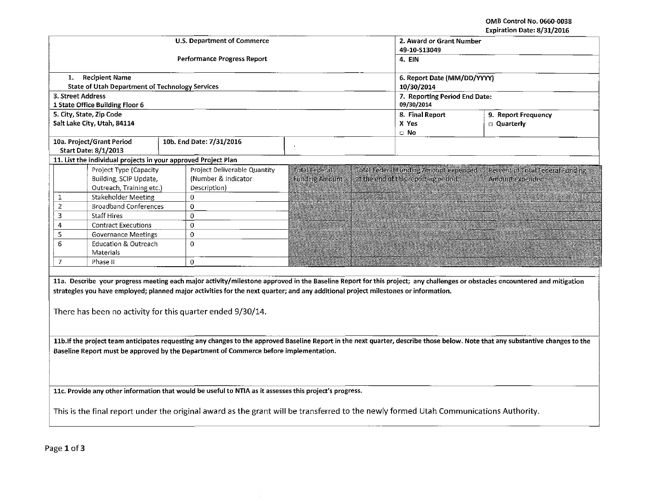OMB Control No. 0660-0038 Evniration Date: 8/31/2016

|                                                                                       |                                                                |                                                                                                                                       |                       |                                              | Expiration Date: 8/31/2016                                                                                                                                                      |  |  |  |  |
|---------------------------------------------------------------------------------------|----------------------------------------------------------------|---------------------------------------------------------------------------------------------------------------------------------------|-----------------------|----------------------------------------------|---------------------------------------------------------------------------------------------------------------------------------------------------------------------------------|--|--|--|--|
|                                                                                       |                                                                | <b>U.S. Department of Commerce</b>                                                                                                    |                       | 2. Award or Grant Number                     |                                                                                                                                                                                 |  |  |  |  |
|                                                                                       |                                                                |                                                                                                                                       | 49-10-S13049          |                                              |                                                                                                                                                                                 |  |  |  |  |
|                                                                                       |                                                                | <b>Performance Progress Report</b>                                                                                                    | 4. EIN                |                                              |                                                                                                                                                                                 |  |  |  |  |
|                                                                                       |                                                                |                                                                                                                                       |                       |                                              |                                                                                                                                                                                 |  |  |  |  |
| 1.                                                                                    | <b>Recipient Name</b>                                          |                                                                                                                                       |                       |                                              | 6. Report Date (MM/DD/YYYY)                                                                                                                                                     |  |  |  |  |
|                                                                                       | <b>State of Utah Department of Technology Services</b>         |                                                                                                                                       | 10/30/2014            |                                              |                                                                                                                                                                                 |  |  |  |  |
| 3. Street Address                                                                     |                                                                |                                                                                                                                       |                       | 7. Reporting Period End Date:                |                                                                                                                                                                                 |  |  |  |  |
|                                                                                       | 1 State Office Building Floor 6                                |                                                                                                                                       |                       | 09/30/2014                                   |                                                                                                                                                                                 |  |  |  |  |
|                                                                                       | 5. City, State, Zip Code                                       |                                                                                                                                       | 8. Final Report       | 9. Report Frequency                          |                                                                                                                                                                                 |  |  |  |  |
|                                                                                       | Salt Lake City, Utah, 84114                                    |                                                                                                                                       | X Yes                 | <b>Quarterly</b>                             |                                                                                                                                                                                 |  |  |  |  |
|                                                                                       |                                                                |                                                                                                                                       | $\Box$ No             |                                              |                                                                                                                                                                                 |  |  |  |  |
|                                                                                       | 10a. Project/Grant Period                                      | 10b. End Date: 7/31/2016                                                                                                              |                       |                                              |                                                                                                                                                                                 |  |  |  |  |
|                                                                                       | <b>Start Date: 8/1/2013</b>                                    |                                                                                                                                       |                       |                                              |                                                                                                                                                                                 |  |  |  |  |
|                                                                                       | 11. List the individual projects in your approved Project Plan |                                                                                                                                       |                       |                                              |                                                                                                                                                                                 |  |  |  |  |
|                                                                                       | Project Type (Capacity                                         | Project Deliverable Quantity                                                                                                          | Total Federal         | <b>Total Federal Funding Amount expended</b> | Percent of Total Federal Funding                                                                                                                                                |  |  |  |  |
|                                                                                       | Building, SCIP Update,                                         | (Number & Indicator                                                                                                                   | <b>Funding Amount</b> | at the end of this reporting period.         | Amount expended                                                                                                                                                                 |  |  |  |  |
|                                                                                       | Outreach, Training etc.)                                       | Description)                                                                                                                          |                       |                                              |                                                                                                                                                                                 |  |  |  |  |
| $\mathbf{1}$                                                                          | <b>Stakeholder Meeting</b>                                     | $\Omega$                                                                                                                              |                       |                                              |                                                                                                                                                                                 |  |  |  |  |
| $\overline{2}$                                                                        | <b>Broadband Conferences</b>                                   | $\Omega$                                                                                                                              |                       |                                              |                                                                                                                                                                                 |  |  |  |  |
| 3                                                                                     | <b>Staff Hires</b>                                             | $\mathbf C$                                                                                                                           |                       |                                              |                                                                                                                                                                                 |  |  |  |  |
| 4                                                                                     | <b>Contract Executions</b>                                     | $\Omega$                                                                                                                              |                       |                                              |                                                                                                                                                                                 |  |  |  |  |
| 5                                                                                     | <b>Governance Meetings</b>                                     | $\Omega$                                                                                                                              |                       |                                              |                                                                                                                                                                                 |  |  |  |  |
| 6                                                                                     | <b>Education &amp; Outreach</b>                                | $\Omega$                                                                                                                              |                       |                                              |                                                                                                                                                                                 |  |  |  |  |
|                                                                                       | Materials                                                      |                                                                                                                                       |                       |                                              |                                                                                                                                                                                 |  |  |  |  |
| $\overline{I}$                                                                        | Phase II                                                       | $\circ$                                                                                                                               |                       |                                              |                                                                                                                                                                                 |  |  |  |  |
|                                                                                       |                                                                |                                                                                                                                       |                       |                                              |                                                                                                                                                                                 |  |  |  |  |
|                                                                                       |                                                                |                                                                                                                                       |                       |                                              | 11a. Describe your progress meeting each major activity/milestone approved in the Baseline Report for this project; any challenges or obstacles encountered and mitigation      |  |  |  |  |
|                                                                                       |                                                                |                                                                                                                                       |                       |                                              |                                                                                                                                                                                 |  |  |  |  |
|                                                                                       |                                                                | strategies you have employed; planned major activities for the next quarter; and any additional project milestones or information.    |                       |                                              |                                                                                                                                                                                 |  |  |  |  |
|                                                                                       |                                                                |                                                                                                                                       |                       |                                              |                                                                                                                                                                                 |  |  |  |  |
|                                                                                       |                                                                | There has been no activity for this quarter ended 9/30/14.                                                                            |                       |                                              |                                                                                                                                                                                 |  |  |  |  |
|                                                                                       |                                                                |                                                                                                                                       |                       |                                              |                                                                                                                                                                                 |  |  |  |  |
|                                                                                       |                                                                |                                                                                                                                       |                       |                                              |                                                                                                                                                                                 |  |  |  |  |
|                                                                                       |                                                                |                                                                                                                                       |                       |                                              | 11b. If the project team anticipates requesting any changes to the approved Baseline Report in the next quarter, describe those below. Note that any substantive changes to the |  |  |  |  |
| Baseline Report must be approved by the Department of Commerce before implementation. |                                                                |                                                                                                                                       |                       |                                              |                                                                                                                                                                                 |  |  |  |  |
|                                                                                       |                                                                |                                                                                                                                       |                       |                                              |                                                                                                                                                                                 |  |  |  |  |
|                                                                                       |                                                                |                                                                                                                                       |                       |                                              |                                                                                                                                                                                 |  |  |  |  |
|                                                                                       |                                                                |                                                                                                                                       |                       |                                              |                                                                                                                                                                                 |  |  |  |  |
|                                                                                       |                                                                | 11c. Provide any other information that would be useful to NTIA as it assesses this project's progress.                               |                       |                                              |                                                                                                                                                                                 |  |  |  |  |
|                                                                                       |                                                                |                                                                                                                                       |                       |                                              |                                                                                                                                                                                 |  |  |  |  |
|                                                                                       |                                                                |                                                                                                                                       |                       |                                              |                                                                                                                                                                                 |  |  |  |  |
|                                                                                       |                                                                | This is the final report under the original award as the grant will be transferred to the newly formed Utah Communications Authority. |                       |                                              |                                                                                                                                                                                 |  |  |  |  |

Page 1 of 3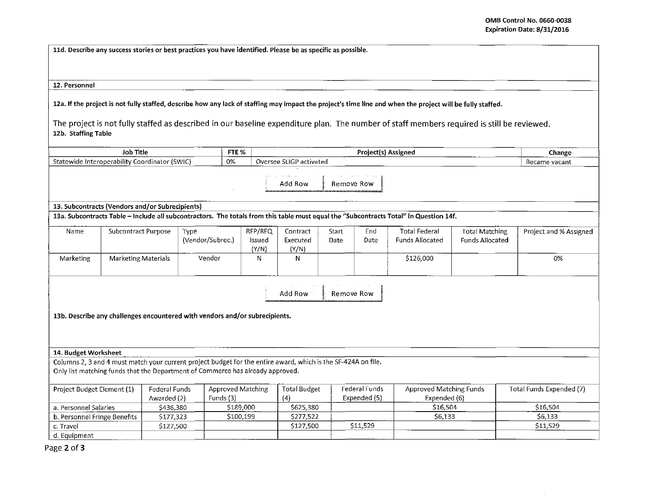11d. Describe any success stories or best practices you have identified. Please be as specific as possible.

12. Personnel

12a. If the project is not fully staffed, describe how any lack of staffing may impact the project's time line and when the project will be fully staffed.

The project is not fully staffed as described in our baseline expenditure plan. The number of staff members required is still be reviewed. 12b. Staffing Table

| Job Title                                                                                                                                                                                       |                            |                                     |                          | FTE %                      | Project(s) Assigned           |  |                               |                                                | Change                                          |                          |
|-------------------------------------------------------------------------------------------------------------------------------------------------------------------------------------------------|----------------------------|-------------------------------------|--------------------------|----------------------------|-------------------------------|--|-------------------------------|------------------------------------------------|-------------------------------------------------|--------------------------|
| Statewide Interoperability Coordinator (SWIC)                                                                                                                                                   |                            |                                     |                          | 0%                         | Oversee SLIGP activated       |  |                               |                                                |                                                 | Became vacant            |
|                                                                                                                                                                                                 |                            |                                     |                          |                            | Add Row                       |  | Remove Row                    |                                                |                                                 |                          |
| 13. Subcontracts (Vendors and/or Subrecipients)                                                                                                                                                 |                            |                                     |                          |                            |                               |  |                               |                                                |                                                 |                          |
| 13a. Subcontracts Table - Include all subcontractors. The totals from this table must equal the "Subcontracts Total" in Question 14f.                                                           |                            |                                     |                          |                            |                               |  |                               |                                                |                                                 |                          |
| Name                                                                                                                                                                                            | Subcontract Purpose        |                                     | Type<br>(Vendor/Subrec.) | RFP/RFQ<br>Issued<br>(Y/N) | Contract<br>Executed<br>(Y/N) |  | End<br>Start<br>Date<br>Date  | <b>Total Federal</b><br><b>Funds Allocated</b> | <b>Total Matching</b><br><b>Funds Allocated</b> | Project and % Assigned   |
| Marketing                                                                                                                                                                                       | <b>Marketing Materials</b> |                                     | Vendor                   | N                          | N.                            |  |                               | \$126,000                                      |                                                 | 0%                       |
| Add Row<br>Remove Row<br>13b. Describe any challenges encountered with vendors and/or subrecipients.                                                                                            |                            |                                     |                          |                            |                               |  |                               |                                                |                                                 |                          |
| 14. Budget Worksheet                                                                                                                                                                            |                            |                                     |                          |                            |                               |  |                               |                                                |                                                 |                          |
| Columns 2, 3 and 4 must match your current project budget for the entire award, which is the SF-424A on file.<br>Only list matching funds that the Department of Commerce has already approved. |                            |                                     |                          |                            |                               |  |                               |                                                |                                                 |                          |
| Project Budget Element (1)                                                                                                                                                                      |                            | <b>Federal Funds</b><br>Awarded (2) | Funds (3)                | <b>Approved Matching</b>   | <b>Total Budget</b><br>(4)    |  | Federal Funds<br>Expended (5) | <b>Approved Matching Funds</b><br>Expended (6) |                                                 | Total Funds Expended (7) |
| a. Personnel Salaries                                                                                                                                                                           |                            | \$436,380                           |                          | \$189,000                  | \$625,380                     |  |                               | \$16,504                                       |                                                 | \$16,504                 |
| b. Personnel Fringe Benefits                                                                                                                                                                    |                            | \$177,323                           |                          | \$100,199                  | \$277,522                     |  |                               | \$6,133                                        |                                                 | \$6,133                  |
| c. Travel                                                                                                                                                                                       |                            | \$127,500                           |                          |                            | \$127,500                     |  | \$11,529                      |                                                |                                                 | \$11,529                 |
| d. Equipment                                                                                                                                                                                    |                            |                                     |                          |                            |                               |  |                               |                                                |                                                 |                          |